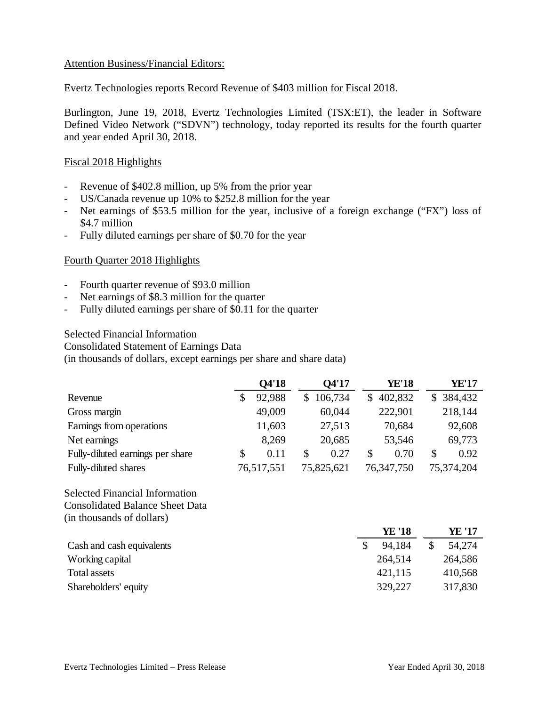## Attention Business/Financial Editors:

Evertz Technologies reports Record Revenue of \$403 million for Fiscal 2018.

Burlington, June 19, 2018, Evertz Technologies Limited (TSX:ET), the leader in Software Defined Video Network ("SDVN") technology, today reported its results for the fourth quarter and year ended April 30, 2018.

## Fiscal 2018 Highlights

- Revenue of \$402.8 million, up 5% from the prior year
- US/Canada revenue up 10% to \$252.8 million for the year
- Net earnings of \$53.5 million for the year, inclusive of a foreign exchange ("FX") loss of \$4.7 million
- Fully diluted earnings per share of \$0.70 for the year

# Fourth Quarter 2018 Highlights

- Fourth quarter revenue of \$93.0 million
- Net earnings of \$8.3 million for the quarter
- Fully diluted earnings per share of \$0.11 for the quarter

#### Selected Financial Information

Consolidated Statement of Earnings Data

(in thousands of dollars, except earnings per share and share data)

|                                        | Q4'18        |    | Q4'17      |               | <b>YE'18</b>  |    | <b>YE'17</b> |  |
|----------------------------------------|--------------|----|------------|---------------|---------------|----|--------------|--|
| Revenue                                | \$<br>92,988 | \$ | 106,734    | \$            | 402,832       | \$ | 384,432      |  |
| Gross margin                           | 49,009       |    | 60,044     |               | 222,901       |    | 218,144      |  |
| Earnings from operations               | 11,603       |    | 27,513     |               | 70,684        |    | 92,608       |  |
| Net earnings                           | 8,269        |    | 20,685     |               | 53,546        |    | 69,773       |  |
| Fully-diluted earnings per share       | \$<br>0.11   | \$ | 0.27       | \$            | 0.70          | \$ | 0.92         |  |
| Fully-diluted shares                   | 76,517,551   |    | 75,825,621 |               | 76, 347, 750  |    | 75,374,204   |  |
| Selected Financial Information         |              |    |            |               |               |    |              |  |
| <b>Consolidated Balance Sheet Data</b> |              |    |            |               |               |    |              |  |
| (in thousands of dollars)              |              |    |            |               |               |    |              |  |
|                                        |              |    |            |               | <b>YE '18</b> |    | YE '17       |  |
| Cash and cash equivalents              |              |    |            | $\mathcal{S}$ | 94,184        | \$ | 54,274       |  |
| Working capital                        |              |    |            |               | 264,514       |    | 264,586      |  |
| <b>Total assets</b>                    |              |    |            |               | 421,115       |    | 410,568      |  |
| Shareholders' equity                   |              |    |            |               | 329,227       |    | 317,830      |  |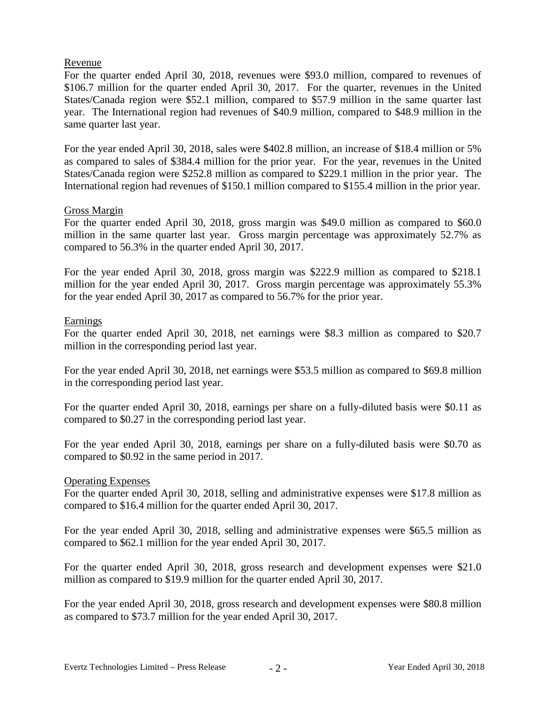## Revenue

For the quarter ended April 30, 2018, revenues were \$93.0 million, compared to revenues of \$106.7 million for the quarter ended April 30, 2017. For the quarter, revenues in the United States/Canada region were \$52.1 million, compared to \$57.9 million in the same quarter last year. The International region had revenues of \$40.9 million, compared to \$48.9 million in the same quarter last year.

For the year ended April 30, 2018, sales were \$402.8 million, an increase of \$18.4 million or 5% as compared to sales of \$384.4 million for the prior year. For the year, revenues in the United States/Canada region were \$252.8 million as compared to \$229.1 million in the prior year. The International region had revenues of \$150.1 million compared to \$155.4 million in the prior year.

#### Gross Margin

For the quarter ended April 30, 2018, gross margin was \$49.0 million as compared to \$60.0 million in the same quarter last year. Gross margin percentage was approximately 52.7% as compared to 56.3% in the quarter ended April 30, 2017.

For the year ended April 30, 2018, gross margin was \$222.9 million as compared to \$218.1 million for the year ended April 30, 2017. Gross margin percentage was approximately 55.3% for the year ended April 30, 2017 as compared to 56.7% for the prior year.

# Earnings

For the quarter ended April 30, 2018, net earnings were \$8.3 million as compared to \$20.7 million in the corresponding period last year.

For the year ended April 30, 2018, net earnings were \$53.5 million as compared to \$69.8 million in the corresponding period last year.

For the quarter ended April 30, 2018, earnings per share on a fully-diluted basis were \$0.11 as compared to \$0.27 in the corresponding period last year.

For the year ended April 30, 2018, earnings per share on a fully-diluted basis were \$0.70 as compared to \$0.92 in the same period in 2017.

#### Operating Expenses

For the quarter ended April 30, 2018, selling and administrative expenses were \$17.8 million as compared to \$16.4 million for the quarter ended April 30, 2017.

For the year ended April 30, 2018, selling and administrative expenses were \$65.5 million as compared to \$62.1 million for the year ended April 30, 2017.

For the quarter ended April 30, 2018, gross research and development expenses were \$21.0 million as compared to \$19.9 million for the quarter ended April 30, 2017.

For the year ended April 30, 2018, gross research and development expenses were \$80.8 million as compared to \$73.7 million for the year ended April 30, 2017.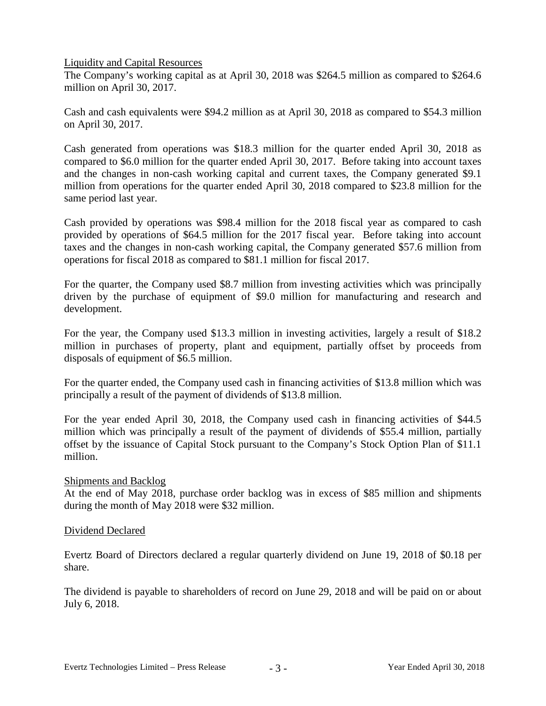Liquidity and Capital Resources

The Company's working capital as at April 30, 2018 was \$264.5 million as compared to \$264.6 million on April 30, 2017.

Cash and cash equivalents were \$94.2 million as at April 30, 2018 as compared to \$54.3 million on April 30, 2017.

Cash generated from operations was \$18.3 million for the quarter ended April 30, 2018 as compared to \$6.0 million for the quarter ended April 30, 2017. Before taking into account taxes and the changes in non-cash working capital and current taxes, the Company generated \$9.1 million from operations for the quarter ended April 30, 2018 compared to \$23.8 million for the same period last year.

Cash provided by operations was \$98.4 million for the 2018 fiscal year as compared to cash provided by operations of \$64.5 million for the 2017 fiscal year. Before taking into account taxes and the changes in non-cash working capital, the Company generated \$57.6 million from operations for fiscal 2018 as compared to \$81.1 million for fiscal 2017.

For the quarter, the Company used \$8.7 million from investing activities which was principally driven by the purchase of equipment of \$9.0 million for manufacturing and research and development.

For the year, the Company used \$13.3 million in investing activities, largely a result of \$18.2 million in purchases of property, plant and equipment, partially offset by proceeds from disposals of equipment of \$6.5 million.

For the quarter ended, the Company used cash in financing activities of \$13.8 million which was principally a result of the payment of dividends of \$13.8 million.

For the year ended April 30, 2018, the Company used cash in financing activities of \$44.5 million which was principally a result of the payment of dividends of \$55.4 million, partially offset by the issuance of Capital Stock pursuant to the Company's Stock Option Plan of \$11.1 million.

#### Shipments and Backlog

At the end of May 2018, purchase order backlog was in excess of \$85 million and shipments during the month of May 2018 were \$32 million.

#### Dividend Declared

Evertz Board of Directors declared a regular quarterly dividend on June 19, 2018 of \$0.18 per share.

The dividend is payable to shareholders of record on June 29, 2018 and will be paid on or about July 6, 2018.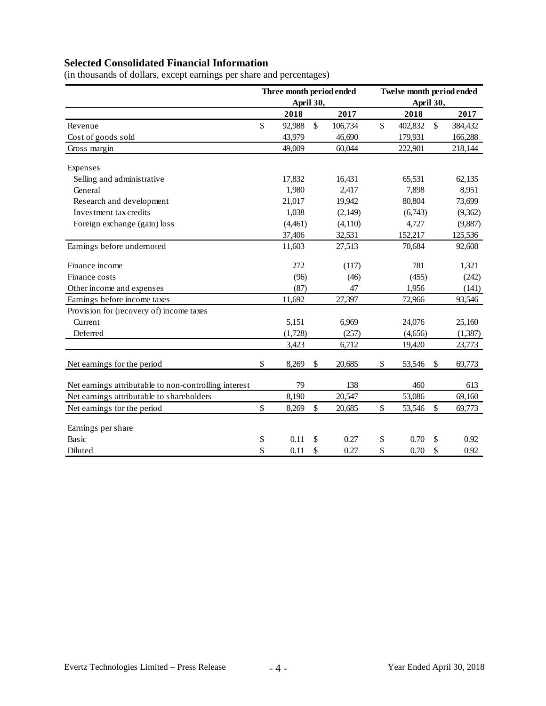# **Selected Consolidated Financial Information**

|                                                       | Three month period ended<br>April 30, |         |               |         | Twelve month period ended<br>April 30, |         |                           |          |
|-------------------------------------------------------|---------------------------------------|---------|---------------|---------|----------------------------------------|---------|---------------------------|----------|
|                                                       |                                       | 2018    |               | 2017    |                                        | 2018    |                           | 2017     |
| Revenue                                               | \$                                    | 92,988  | $\mathcal{S}$ | 106,734 | $\mathcal{S}$                          | 402,832 | $\boldsymbol{\mathsf{S}}$ | 384,432  |
| Cost of goods sold                                    |                                       | 43,979  |               | 46,690  |                                        | 179,931 |                           | 166,288  |
| Gross margin                                          |                                       | 49,009  |               | 60,044  |                                        | 222,901 |                           | 218,144  |
| Expenses                                              |                                       |         |               |         |                                        |         |                           |          |
| Selling and administrative                            |                                       | 17,832  |               | 16,431  |                                        | 65,531  |                           | 62,135   |
| General                                               |                                       | 1,980   |               | 2,417   |                                        | 7,898   |                           | 8,951    |
| Research and development                              |                                       | 21,017  |               | 19,942  |                                        | 80,804  |                           | 73,699   |
| Investment tax credits                                |                                       | 1,038   |               | (2,149) |                                        | (6,743) |                           | (9,362)  |
| Foreign exchange (gain) loss                          |                                       | (4,461) |               | (4,110) |                                        | 4,727   |                           | (9,887)  |
|                                                       |                                       | 37,406  |               | 32,531  |                                        | 152,217 |                           | 125,536  |
| Earnings before undernoted                            |                                       | 11,603  |               | 27,513  |                                        | 70,684  |                           | 92,608   |
| Finance income                                        |                                       | 272     |               | (117)   |                                        | 781     |                           | 1,321    |
| Finance costs                                         |                                       | (96)    |               | (46)    |                                        | (455)   |                           | (242)    |
| Other income and expenses                             |                                       | (87)    |               | 47      |                                        | 1,956   |                           | (141)    |
| Earnings before income taxes                          |                                       | 11,692  |               | 27,397  |                                        | 72,966  |                           | 93,546   |
| Provision for (recovery of) income taxes              |                                       |         |               |         |                                        |         |                           |          |
| Current                                               |                                       | 5,151   |               | 6,969   |                                        | 24,076  |                           | 25,160   |
| Deferred                                              |                                       | (1,728) |               | (257)   |                                        | (4,656) |                           | (1, 387) |
|                                                       |                                       | 3,423   |               | 6,712   |                                        | 19,420  |                           | 23,773   |
| Net earnings for the period                           | \$                                    | 8,269   | \$            | 20,685  | \$                                     | 53,546  | \$                        | 69,773   |
| Net earnings attributable to non-controlling interest |                                       | 79      |               | 138     |                                        | 460     |                           | 613      |
| Net earnings attributable to shareholders             |                                       | 8,190   |               | 20,547  |                                        | 53,086  |                           | 69,160   |
| Net earnings for the period                           | \$                                    | 8,269   | \$            | 20,685  | \$                                     | 53,546  | \$                        | 69,773   |
| Earnings per share                                    |                                       |         |               |         |                                        |         |                           |          |
| Basic                                                 | \$                                    | 0.11    | \$            | 0.27    | \$                                     | 0.70    | \$                        | 0.92     |
| Diluted                                               | \$                                    | 0.11    | \$            | 0.27    | \$                                     | 0.70    | \$                        | 0.92     |

(in thousands of dollars, except earnings per share and percentages)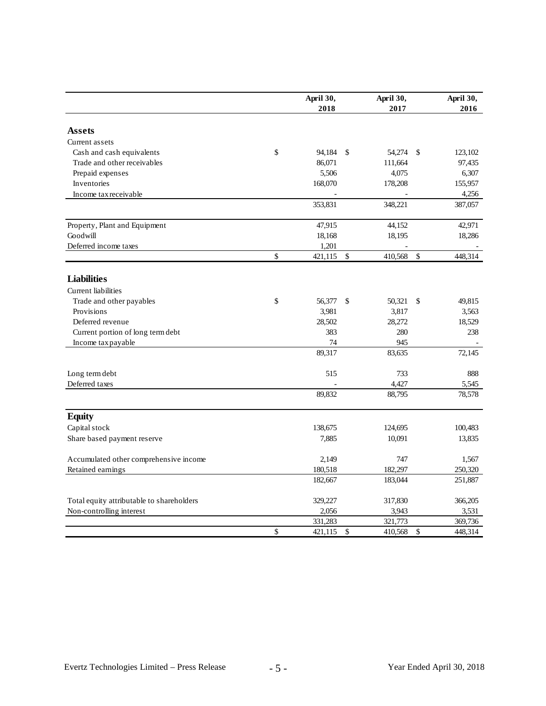|                                                                       | April 30,     |              | April 30, |               | April 30, |
|-----------------------------------------------------------------------|---------------|--------------|-----------|---------------|-----------|
|                                                                       | 2018          |              | 2017      |               | 2016      |
|                                                                       |               |              |           |               |           |
| <b>Assets</b>                                                         |               |              |           |               |           |
| Current assets                                                        |               |              |           |               |           |
| Cash and cash equivalents                                             | \$<br>94,184  | $\mathbb{S}$ | 54,274    | \$            | 123,102   |
| Trade and other receivables                                           | 86,071        |              | 111,664   |               | 97,435    |
| Prepaid expenses                                                      | 5,506         |              | 4,075     |               | 6,307     |
| Inventories                                                           | 168,070       |              | 178,208   |               | 155,957   |
| Income tax receivable                                                 |               |              |           |               | 4,256     |
|                                                                       | 353,831       |              | 348,221   |               | 387,057   |
| Property, Plant and Equipment                                         | 47,915        |              | 44,152    |               | 42,971    |
| Goodwill                                                              | 18,168        |              | 18,195    |               | 18,286    |
| Deferred income taxes                                                 | 1,201         |              |           |               |           |
|                                                                       | \$<br>421,115 | $\mathbb{S}$ | 410,568   | $\mathcal{S}$ | 448,314   |
| <b>Liabilities</b>                                                    |               |              |           |               |           |
| <b>Current</b> liabilities                                            |               |              |           |               |           |
| Trade and other payables                                              | \$<br>56,377  | \$           | 50,321    | \$            | 49,815    |
| Provisions                                                            | 3,981         |              | 3,817     |               | 3,563     |
| Deferred revenue                                                      | 28,502        |              | 28,272    |               | 18,529    |
| Current portion of long term debt                                     | 383           |              | 280       |               | 238       |
| Income tax payable                                                    | 74            |              | 945       |               |           |
|                                                                       | 89,317        |              | 83,635    |               | 72,145    |
|                                                                       |               |              |           |               |           |
| Long term debt                                                        | 515           |              | 733       |               | 888       |
| Deferred taxes                                                        |               |              | 4,427     |               | 5,545     |
|                                                                       | 89,832        |              | 88,795    |               | 78,578    |
| <b>Equity</b>                                                         |               |              |           |               |           |
| Capital stock                                                         | 138,675       |              | 124,695   |               | 100,483   |
| Share based payment reserve                                           | 7,885         |              | 10,091    |               | 13,835    |
| Accumulated other comprehensive income                                | 2,149         |              | 747       |               | 1,567     |
| Retained earnings                                                     | 180,518       |              | 182,297   |               | 250,320   |
|                                                                       | 182,667       |              | 183,044   |               | 251,887   |
|                                                                       | 329,227       |              | 317,830   |               | 366,205   |
| Total equity attributable to shareholders<br>Non-controlling interest | 2,056         |              | 3,943     |               | 3,531     |
|                                                                       | 331,283       |              | 321,773   |               | 369,736   |
|                                                                       | \$<br>421,115 | \$           | 410,568   | \$            | 448,314   |
|                                                                       |               |              |           |               |           |